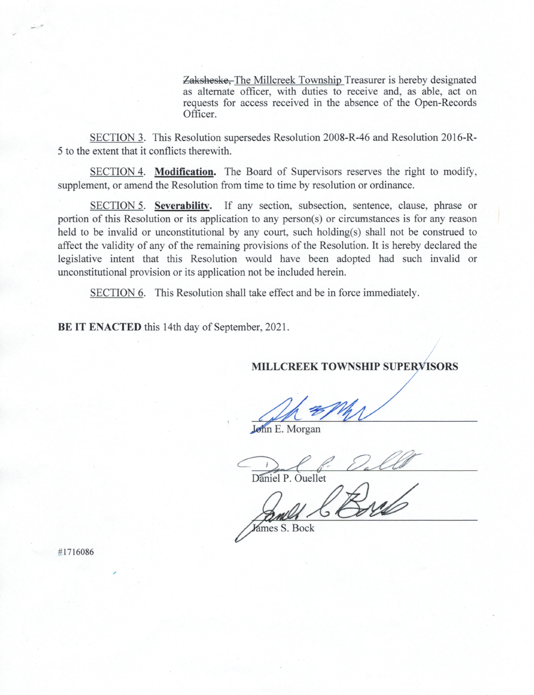Zaksheske, The Millcreek Township Treasurer is hereby designated as alternate officer, with duties to receive and, as able, act on requests for access received in the absence of the Open-Records Officer.

SECTION 3. This Resolution supersedes Resolution 2008-R-46 and Resolution 2016-R-5 to the extent that it conflicts therewith.

SECTION 4. Modification. The Board of Supervisors reserves the right to modify, supplement, or amend the Resolution from time to time by resolution or ordinance.

SECTION 5. Severability. If any section, subsection, sentence, clause, phrase or portion of this Resolution or its application to any person(s) or circumstances is for any reason held to be invalid or unconstitutional by any court, such holding(s) shall not be construed to affect the validity of any of the remaining provisions of the Resolution. It is hereby declared the legislative intent that this Resolution would have been adopted had such invalid or unconstitutional provision or its application not be included herein.

SECTION 6. This Resolution shall take effect and be in force immediately.

BE IT ENACTED this 14th day of September, 2021.

**MILLCREEK TOWNSHIP SUPERVISORS** 

John E. Morgan

Daniel P. Quellet

James S. Bock

#1716086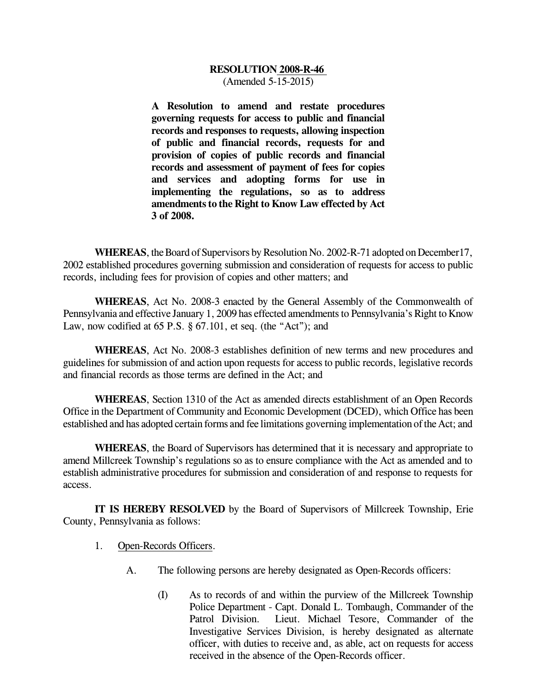## **RESOLUTION 2008-R-46**  (Amended 5-15-2015)

**A Resolution to amend and restate procedures governing requests for access to public and financial records and responses to requests, allowing inspection of public and financial records, requests for and provision of copies of public records and financial records and assessment of payment of fees for copies and services and adopting forms for use in implementing the regulations, so as to address amendments to the Right to Know Law effected by Act 3 of 2008.**

**WHEREAS**, the Board of Supervisors by Resolution No. 2002-R-71 adopted on December17, 2002 established procedures governing submission and consideration of requests for access to public records, including fees for provision of copies and other matters; and

**WHEREAS**, Act No. 2008-3 enacted by the General Assembly of the Commonwealth of Pennsylvania and effective January 1, 2009 has effected amendments to Pennsylvania's Right to Know Law, now codified at  $65$  P.S.  $\S$   $67.101$ , et seq. (the "Act"); and

**WHEREAS**, Act No. 2008-3 establishes definition of new terms and new procedures and guidelines for submission of and action upon requests for access to public records, legislative records and financial records as those terms are defined in the Act; and

**WHEREAS**, Section 1310 of the Act as amended directs establishment of an Open Records Office in the Department of Community and Economic Development (DCED), which Office has been established and has adopted certain forms and fee limitations governing implementation of the Act; and

**WHEREAS**, the Board of Supervisors has determined that it is necessary and appropriate to amend Millcreek Township's regulations so as to ensure compliance with the Act as amended and to establish administrative procedures for submission and consideration of and response to requests for access.

**IT IS HEREBY RESOLVED** by the Board of Supervisors of Millcreek Township, Erie County, Pennsylvania as follows:

- 1. Open-Records Officers.
	- A. The following persons are hereby designated as Open-Records officers:
		- (I) As to records of and within the purview of the Millcreek Township Police Department - Capt. Donald L. Tombaugh, Commander of the Patrol Division. Lieut. Michael Tesore, Commander of the Investigative Services Division, is hereby designated as alternate officer, with duties to receive and, as able, act on requests for access received in the absence of the Open-Records officer.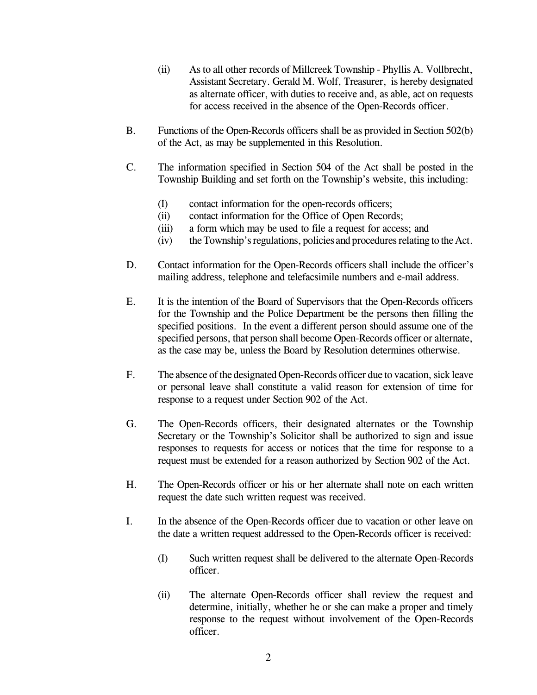- (ii) As to all other records of Millcreek Township Phyllis A. Vollbrecht, Assistant Secretary. Gerald M. Wolf, Treasurer, is hereby designated as alternate officer, with duties to receive and, as able, act on requests for access received in the absence of the Open-Records officer.
- B. Functions of the Open-Records officers shall be as provided in Section 502(b) of the Act, as may be supplemented in this Resolution.
- C. The information specified in Section 504 of the Act shall be posted in the Township Building and set forth on the Township's website, this including:
	- (I) contact information for the open-records officers;
	- (ii) contact information for the Office of Open Records;
	- (iii) a form which may be used to file a request for access; and
	- (iv) theTownship'sregulations, policies and proceduresrelating to the Act.
- D. Contact information for the Open-Records officers shall include the officer's mailing address, telephone and telefacsimile numbers and e-mail address.
- E. It is the intention of the Board of Supervisors that the Open-Records officers for the Township and the Police Department be the persons then filling the specified positions. In the event a different person should assume one of the specified persons, that person shall become Open-Records officer or alternate, as the case may be, unless the Board by Resolution determines otherwise.
- F. The absence of the designated Open-Records officer due to vacation, sick leave or personal leave shall constitute a valid reason for extension of time for response to a request under Section 902 of the Act.
- G. The Open-Records officers, their designated alternates or the Township Secretary or the Township's Solicitor shall be authorized to sign and issue responses to requests for access or notices that the time for response to a request must be extended for a reason authorized by Section 902 of the Act.
- H. The Open-Records officer or his or her alternate shall note on each written request the date such written request was received.
- I. In the absence of the Open-Records officer due to vacation or other leave on the date a written request addressed to the Open-Records officer is received:
	- (I) Such written request shall be delivered to the alternate Open-Records officer.
	- (ii) The alternate Open-Records officer shall review the request and determine, initially, whether he or she can make a proper and timely response to the request without involvement of the Open-Records officer.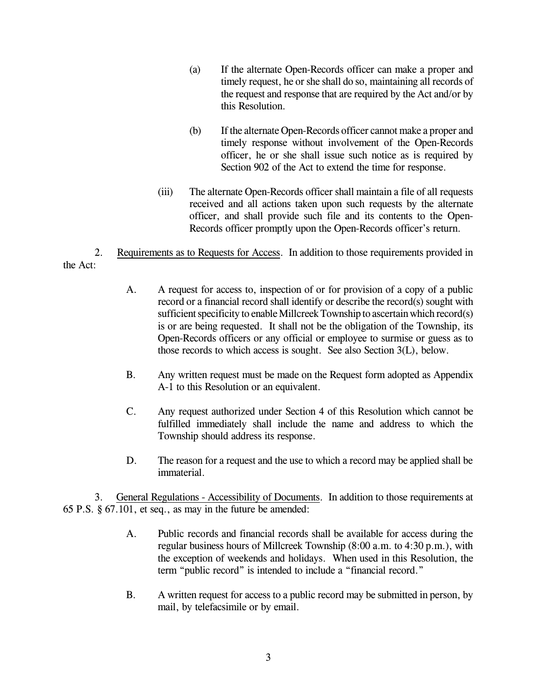- (a) If the alternate Open-Records officer can make a proper and timely request, he or she shall do so, maintaining all records of the request and response that are required by the Act and/or by this Resolution.
- (b) If the alternate Open-Records officer cannot make a proper and timely response without involvement of the Open-Records officer, he or she shall issue such notice as is required by Section 902 of the Act to extend the time for response.
- (iii) The alternate Open-Records officer shall maintain a file of all requests received and all actions taken upon such requests by the alternate officer, and shall provide such file and its contents to the Open-Records officer promptly upon the Open-Records officer's return.
- 2. Requirements as to Requests for Access. In addition to those requirements provided in the Act:
	- A. A request for access to, inspection of or for provision of a copy of a public record or a financial record shall identify or describe the record(s) sought with sufficient specificity to enable Millcreek Township to ascertain which record(s) is or are being requested. It shall not be the obligation of the Township, its Open-Records officers or any official or employee to surmise or guess as to those records to which access is sought. See also Section 3(L), below.
	- B. Any written request must be made on the Request form adopted as Appendix A-1 to this Resolution or an equivalent.
	- C. Any request authorized under Section 4 of this Resolution which cannot be fulfilled immediately shall include the name and address to which the Township should address its response.
	- D. The reason for a request and the use to which a record may be applied shall be immaterial.

3. General Regulations - Accessibility of Documents. In addition to those requirements at 65 P.S. § 67.101, et seq., as may in the future be amended:

- A. Public records and financial records shall be available for access during the regular business hours of Millcreek Township (8:00 a.m. to 4:30 p.m.), with the exception of weekends and holidays. When used in this Resolution, the term "public record" is intended to include a "financial record."
- B. A written request for access to a public record may be submitted in person, by mail, by telefacsimile or by email.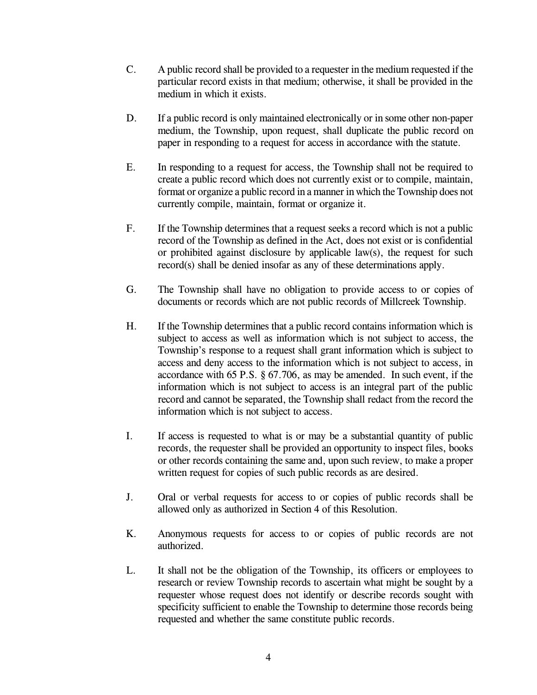- C. A public record shall be provided to a requester in the medium requested if the particular record exists in that medium; otherwise, it shall be provided in the medium in which it exists.
- D. If a public record is only maintained electronically or in some other non-paper medium, the Township, upon request, shall duplicate the public record on paper in responding to a request for access in accordance with the statute.
- E. In responding to a request for access, the Township shall not be required to create a public record which does not currently exist or to compile, maintain, format or organize a public record in a mannerin which the Township does not currently compile, maintain, format or organize it.
- F. If the Township determines that a request seeks a record which is not a public record of the Township as defined in the Act, does not exist or is confidential or prohibited against disclosure by applicable law(s), the request for such record(s) shall be denied insofar as any of these determinations apply.
- G. The Township shall have no obligation to provide access to or copies of documents or records which are not public records of Millcreek Township.
- H. If the Township determines that a public record contains information which is subject to access as well as information which is not subject to access, the Township's response to a request shall grant information which is subject to access and deny access to the information which is not subject to access, in accordance with 65 P.S. § 67.706, as may be amended. In such event, if the information which is not subject to access is an integral part of the public record and cannot be separated, the Township shall redact from the record the information which is not subject to access.
- I. If access is requested to what is or may be a substantial quantity of public records, the requester shall be provided an opportunity to inspect files, books or other records containing the same and, upon such review, to make a proper written request for copies of such public records as are desired.
- J. Oral or verbal requests for access to or copies of public records shall be allowed only as authorized in Section 4 of this Resolution.
- K. Anonymous requests for access to or copies of public records are not authorized.
- L. It shall not be the obligation of the Township, its officers or employees to research or review Township records to ascertain what might be sought by a requester whose request does not identify or describe records sought with specificity sufficient to enable the Township to determine those records being requested and whether the same constitute public records.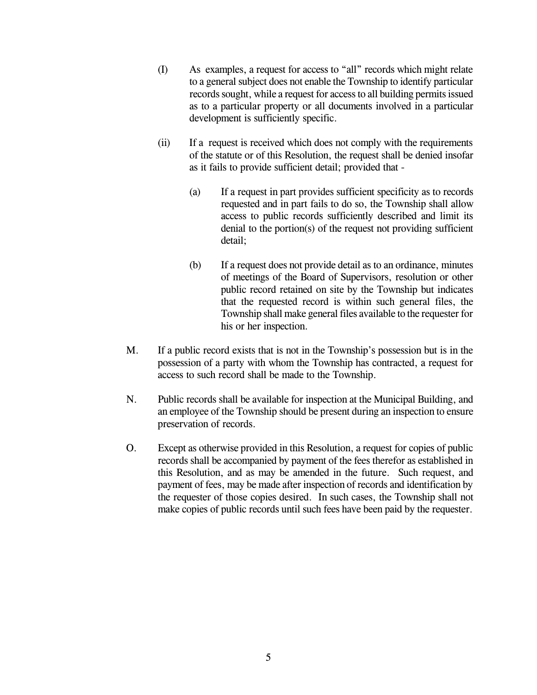- (I) As examples, a request for access to "all" records which might relate to a general subject does not enable the Township to identify particular records sought, while a request for access to all building permits issued as to a particular property or all documents involved in a particular development is sufficiently specific.
- (ii) If a request is received which does not comply with the requirements of the statute or of this Resolution, the request shall be denied insofar as it fails to provide sufficient detail; provided that -
	- (a) If a request in part provides sufficient specificity as to records requested and in part fails to do so, the Township shall allow access to public records sufficiently described and limit its denial to the portion(s) of the request not providing sufficient detail;
	- (b) If a request does not provide detail as to an ordinance, minutes of meetings of the Board of Supervisors, resolution or other public record retained on site by the Township but indicates that the requested record is within such general files, the Township shall make general files available to the requester for his or her inspection.
- M. If a public record exists that is not in the Township's possession but is in the possession of a party with whom the Township has contracted, a request for access to such record shall be made to the Township.
- N. Public records shall be available for inspection at the Municipal Building, and an employee of the Township should be present during an inspection to ensure preservation of records.
- O. Except as otherwise provided in this Resolution, a request for copies of public records shall be accompanied by payment of the fees therefor as established in this Resolution, and as may be amended in the future. Such request, and payment of fees, may be made after inspection of records and identification by the requester of those copies desired. In such cases, the Township shall not make copies of public records until such fees have been paid by the requester.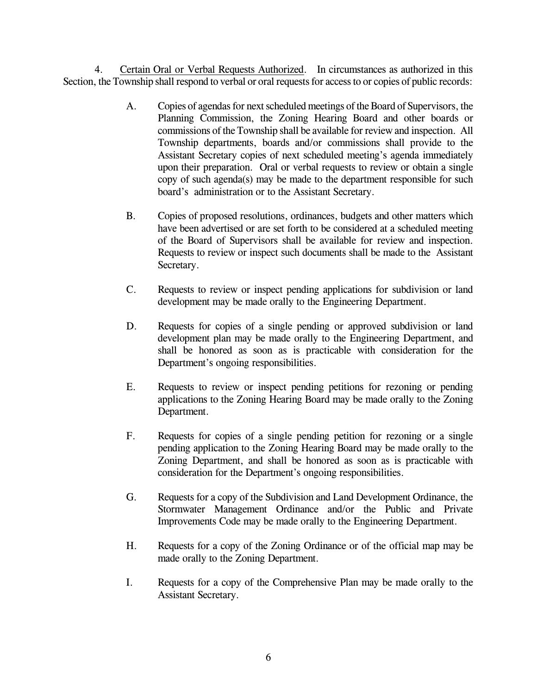4. Certain Oral or Verbal Requests Authorized. In circumstances as authorized in this Section, the Township shall respond to verbal or oral requests for access to or copies of public records:

- A. Copies of agendas for next scheduled meetings of the Board of Supervisors, the Planning Commission, the Zoning Hearing Board and other boards or commissions of the Township shall be available for review and inspection. All Township departments, boards and/or commissions shall provide to the Assistant Secretary copies of next scheduled meeting's agenda immediately upon their preparation. Oral or verbal requests to review or obtain a single copy of such agenda(s) may be made to the department responsible for such board's administration or to the Assistant Secretary.
- B. Copies of proposed resolutions, ordinances, budgets and other matters which have been advertised or are set forth to be considered at a scheduled meeting of the Board of Supervisors shall be available for review and inspection. Requests to review or inspect such documents shall be made to the Assistant Secretary.
- C. Requests to review or inspect pending applications for subdivision or land development may be made orally to the Engineering Department.
- D. Requests for copies of a single pending or approved subdivision or land development plan may be made orally to the Engineering Department, and shall be honored as soon as is practicable with consideration for the Department's ongoing responsibilities.
- E. Requests to review or inspect pending petitions for rezoning or pending applications to the Zoning Hearing Board may be made orally to the Zoning Department.
- F. Requests for copies of a single pending petition for rezoning or a single pending application to the Zoning Hearing Board may be made orally to the Zoning Department, and shall be honored as soon as is practicable with consideration for the Department's ongoing responsibilities.
- G. Requests for a copy of the Subdivision and Land Development Ordinance, the Stormwater Management Ordinance and/or the Public and Private Improvements Code may be made orally to the Engineering Department.
- H. Requests for a copy of the Zoning Ordinance or of the official map may be made orally to the Zoning Department.
- I. Requests for a copy of the Comprehensive Plan may be made orally to the Assistant Secretary.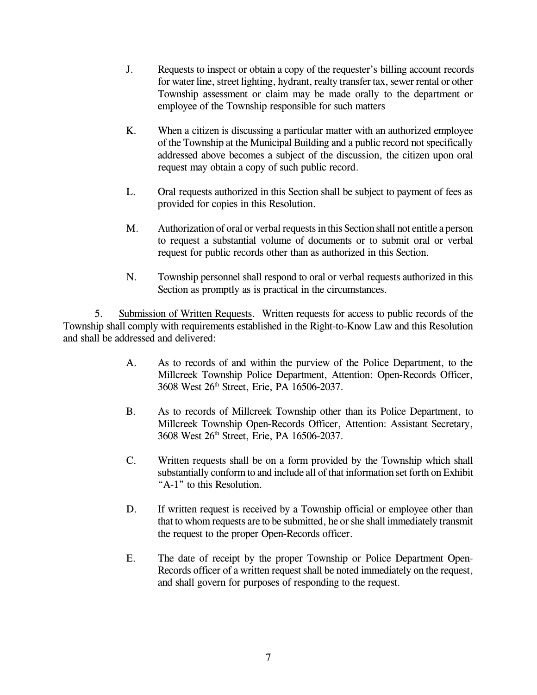- J. Requests to inspect or obtain a copy of the requester's billing account records for water line, street lighting, hydrant, realty transfer tax, sewer rental or other Township assessment or claim may be made orally to the department or employee of the Township responsible for such matters
- K. When a citizen is discussing a particular matter with an authorized employee of the Township at the Municipal Building and a public record not specifically addressed above becomes a subject of the discussion, the citizen upon oral request may obtain a copy of such public record.
- L. Oral requests authorized in this Section shall be subject to payment of fees as provided for copies in this Resolution.
- M. Authorization of oral or verbal requests in this Section shall not entitle a person to request a substantial volume of documents or to submit oral or verbal request for public records other than as authorized in this Section.
- N. Township personnel shall respond to oral or verbal requests authorized in this Section as promptly as is practical in the circumstances.

5. Submission of Written Requests. Written requests for access to public records of the Township shall comply with requirements established in the Right-to-Know Law and this Resolution and shall be addressed and delivered:

- A. As to records of and within the purview of the Police Department, to the Millcreek Township Police Department, Attention: Open-Records Officer, 3608 West 26 th Street, Erie, PA 16506-2037.
- B. As to records of Millcreek Township other than its Police Department, to Millcreek Township Open-Records Officer, Attention: Assistant Secretary, 3608 West 26 th Street, Erie, PA 16506-2037.
- C. Written requests shall be on a form provided by the Township which shall substantially conform to and include all of that information set forth on Exhibit "A-1" to this Resolution.
- D. If written request is received by a Township official or employee other than that to whom requests are to be submitted, he orshe shall immediately transmit the request to the proper Open-Records officer.
- E. The date of receipt by the proper Township or Police Department Open-Records officer of a written request shall be noted immediately on the request, and shall govern for purposes of responding to the request.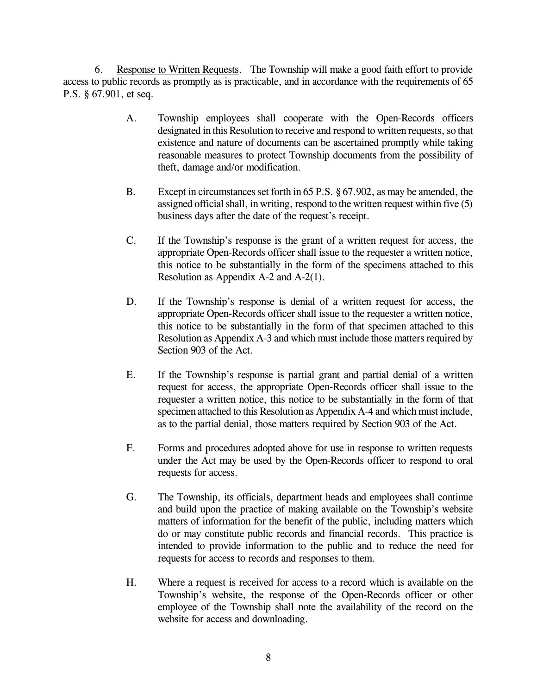6. Response to Written Requests. The Township will make a good faith effort to provide access to public records as promptly as is practicable, and in accordance with the requirements of 65 P.S. § 67.901, et seq.

- A. Township employees shall cooperate with the Open-Records officers designated in this Resolution to receive and respond to written requests, so that existence and nature of documents can be ascertained promptly while taking reasonable measures to protect Township documents from the possibility of theft, damage and/or modification.
- B. Except in circumstances set forth in 65 P.S. § 67.902, as may be amended, the assigned official shall, in writing, respond to the written request within five  $(5)$ business days after the date of the request's receipt.
- C. If the Township's response is the grant of a written request for access, the appropriate Open-Records officer shall issue to the requester a written notice, this notice to be substantially in the form of the specimens attached to this Resolution as Appendix A-2 and A-2(1).
- D. If the Township's response is denial of a written request for access, the appropriate Open-Records officer shall issue to the requester a written notice, this notice to be substantially in the form of that specimen attached to this Resolution as Appendix A-3 and which must include those matters required by Section 903 of the Act.
- E. If the Township's response is partial grant and partial denial of a written request for access, the appropriate Open-Records officer shall issue to the requester a written notice, this notice to be substantially in the form of that specimen attached to this Resolution as Appendix A-4 and which must include, as to the partial denial, those matters required by Section 903 of the Act.
- F. Forms and procedures adopted above for use in response to written requests under the Act may be used by the Open-Records officer to respond to oral requests for access.
- G. The Township, its officials, department heads and employees shall continue and build upon the practice of making available on the Township's website matters of information for the benefit of the public, including matters which do or may constitute public records and financial records. This practice is intended to provide information to the public and to reduce the need for requests for access to records and responses to them.
- H. Where a request is received for access to a record which is available on the Township's website, the response of the Open-Records officer or other employee of the Township shall note the availability of the record on the website for access and downloading.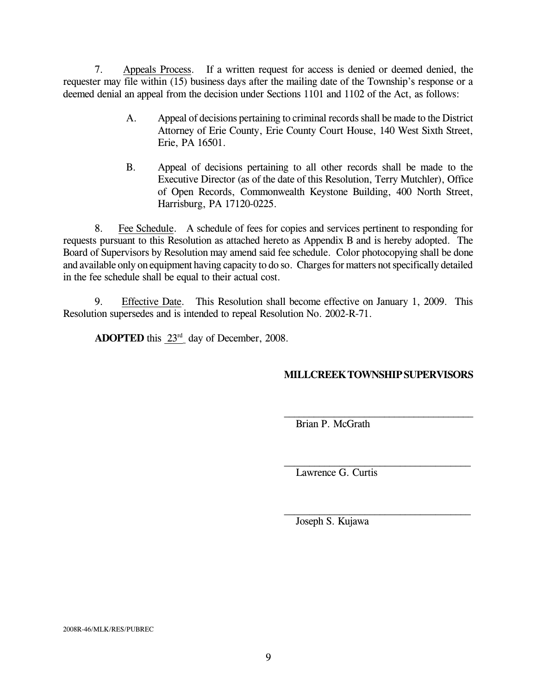7. Appeals Process. If a written request for access is denied or deemed denied, the requester may file within (15) business days after the mailing date of the Township's response or a deemed denial an appeal from the decision under Sections 1101 and 1102 of the Act, as follows:

- A. Appeal of decisions pertaining to criminal records shall be made to the District Attorney of Erie County, Erie County Court House, 140 West Sixth Street, Erie, PA 16501.
- B. Appeal of decisions pertaining to all other records shall be made to the Executive Director (as of the date of this Resolution, Terry Mutchler), Office of Open Records, Commonwealth Keystone Building, 400 North Street, Harrisburg, PA 17120-0225.

8. Fee Schedule. A schedule of fees for copies and services pertinent to responding for requests pursuant to this Resolution as attached hereto as Appendix B and is hereby adopted. The Board of Supervisors by Resolution may amend said fee schedule. Color photocopying shall be done and available only on equipment having capacity to do so. Charges for matters not specifically detailed in the fee schedule shall be equal to their actual cost.

9. Effective Date. This Resolution shall become effective on January 1, 2009. This Resolution supersedes and is intended to repeal Resolution No. 2002-R-71.

**ADOPTED** this  $23<sup>rd</sup>$  day of December, 2008.

# **MILLCREEKTOWNSHIPSUPERVISORS**

 $\mathcal{L}_\text{max}$  , and the set of the set of the set of the set of the set of the set of the set of the set of the set of the set of the set of the set of the set of the set of the set of the set of the set of the set of the

 $\mathcal{L}_\text{max}$  , and the set of the set of the set of the set of the set of the set of the set of the set of the set of the set of the set of the set of the set of the set of the set of the set of the set of the set of the

Brian P. McGrath

Lawrence G. Curtis

Joseph S. Kujawa

2008R-46/MLK/RES/PUBREC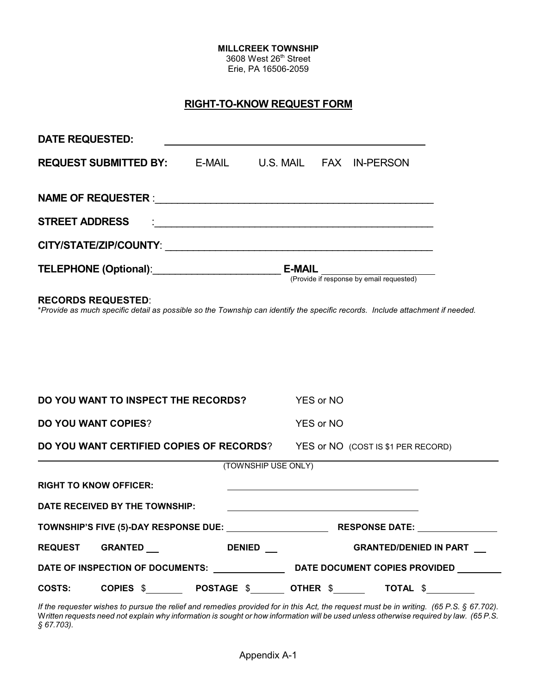3608 West 26<sup>th</sup> Street Erie, PA 16506-2059

# **RIGHT-TO-KNOW REQUEST FORM**

| <b>DATE REQUESTED:</b>                                                                                                                                     |                                            |               |                     |                                                           |                                    |  |  |  |
|------------------------------------------------------------------------------------------------------------------------------------------------------------|--------------------------------------------|---------------|---------------------|-----------------------------------------------------------|------------------------------------|--|--|--|
|                                                                                                                                                            | <b>REQUEST SUBMITTED BY: E-MAIL</b>        |               |                     |                                                           | U.S. MAIL FAX IN-PERSON            |  |  |  |
| <b>STREET ADDRESS</b>                                                                                                                                      |                                            |               |                     |                                                           |                                    |  |  |  |
|                                                                                                                                                            |                                            |               |                     |                                                           |                                    |  |  |  |
|                                                                                                                                                            |                                            |               |                     | <b>E-MAIL</b><br>(Provide if response by email requested) |                                    |  |  |  |
| <b>RECORDS REQUESTED:</b><br>*Provide as much specific detail as possible so the Township can identify the specific records. Include attachment if needed. |                                            |               |                     |                                                           |                                    |  |  |  |
|                                                                                                                                                            |                                            |               |                     |                                                           |                                    |  |  |  |
|                                                                                                                                                            |                                            |               |                     |                                                           |                                    |  |  |  |
|                                                                                                                                                            |                                            |               |                     |                                                           |                                    |  |  |  |
| DO YOU WANT TO INSPECT THE RECORDS?<br>YES or NO                                                                                                           |                                            |               |                     |                                                           |                                    |  |  |  |
| <b>DO YOU WANT COPIES?</b>                                                                                                                                 |                                            |               |                     | <b>YES or NO</b>                                          |                                    |  |  |  |
|                                                                                                                                                            | DO YOU WANT CERTIFIED COPIES OF RECORDS?   |               |                     |                                                           | YES or NO (COST IS \$1 PER RECORD) |  |  |  |
|                                                                                                                                                            |                                            |               | (TOWNSHIP USE ONLY) |                                                           |                                    |  |  |  |
|                                                                                                                                                            | <b>RIGHT TO KNOW OFFICER:</b>              |               |                     |                                                           |                                    |  |  |  |
|                                                                                                                                                            | DATE RECEIVED BY THE TOWNSHIP:             |               |                     |                                                           |                                    |  |  |  |
| TOWNSHIP'S FIVE (5)-DAY RESPONSE DUE: RESPONSE DATE: RESPONSE DATE:                                                                                        |                                            |               |                     |                                                           |                                    |  |  |  |
|                                                                                                                                                            | REQUEST GRANTED ___                        | <b>DENIED</b> |                     |                                                           | <b>GRANTED/DENIED IN PART</b>      |  |  |  |
|                                                                                                                                                            |                                            |               |                     |                                                           |                                    |  |  |  |
|                                                                                                                                                            | COSTS: COPIES \$POSTAGE \$OTHER \$TOTAL \$ |               |                     |                                                           |                                    |  |  |  |

*If the requester wishes to pursue the relief and remedies provided for in this Act, the request must be in writing. (65 P.S. § 67.702).* W*ritten requests need not explain why information is sought or how information will be used unless otherwise required by law. (65 P.S. § 67.703).*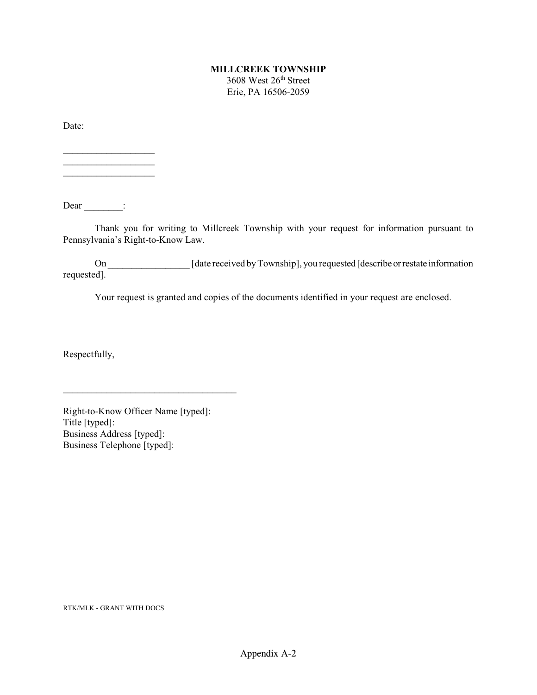3608 West 26<sup>th</sup> Street Erie, PA 16506-2059

Date:

 $\_$ 

 $\mathcal{L}_\text{max}$ 

 $Dear$   $\qquad$ :

Thank you for writing to Millcreek Township with your request for information pursuant to Pennsylvania's Right-to-Know Law.

On \_\_\_\_\_\_\_\_\_\_\_\_\_\_\_\_\_\_\_\_\_ [date received by Township], you requested [describe or restate information requested].

Your request is granted and copies of the documents identified in your request are enclosed.

Respectfully,

Right-to-Know Officer Name [typed]: Title [typed]: Business Address [typed]: Business Telephone [typed]:

 $\mathcal{L}_\text{max}$  and  $\mathcal{L}_\text{max}$  and  $\mathcal{L}_\text{max}$  and  $\mathcal{L}_\text{max}$ 

RTK/MLK - GRANT WITH DOCS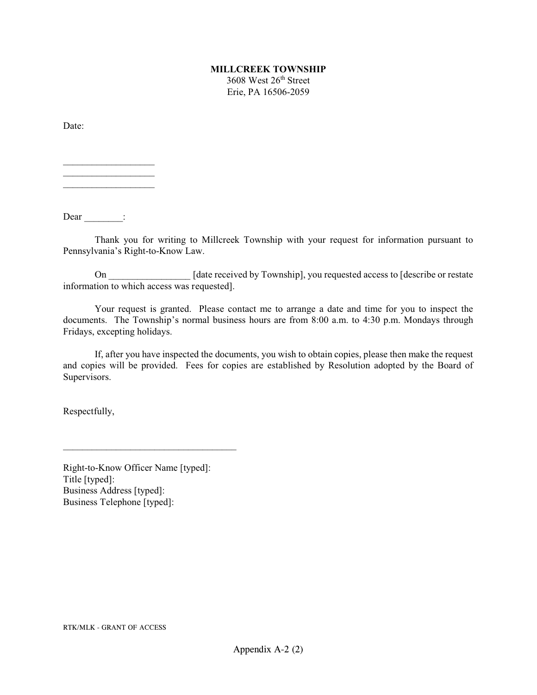3608 West 26<sup>th</sup> Street Erie, PA 16506-2059

Date:

 $\mathcal{L}=\mathcal{L}^{\text{max}}$  $\mathcal{L}=\mathcal{L}^{\text{max}}$  $\_$ 

Dear :

Thank you for writing to Millcreek Township with your request for information pursuant to Pennsylvania's Right-to-Know Law.

On [date received by Township], you requested access to [describe or restate] information to which access was requested].

Your request is granted. Please contact me to arrange a date and time for you to inspect the documents. The Township's normal business hours are from 8:00 a.m. to 4:30 p.m. Mondays through Fridays, excepting holidays.

If, after you have inspected the documents, you wish to obtain copies, please then make the request and copies will be provided. Fees for copies are established by Resolution adopted by the Board of Supervisors.

Respectfully,

Right-to-Know Officer Name [typed]: Title [typed]: Business Address [typed]: Business Telephone [typed]:

 $\mathcal{L}_\text{max}$  and  $\mathcal{L}_\text{max}$  and  $\mathcal{L}_\text{max}$  and  $\mathcal{L}_\text{max}$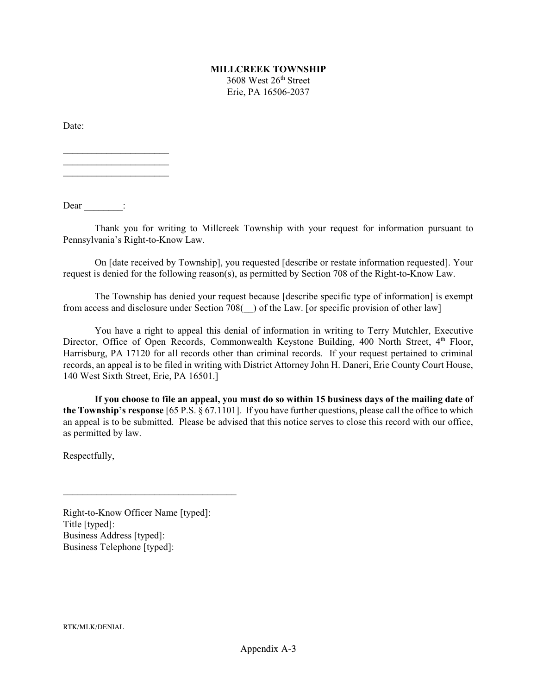3608 West 26<sup>th</sup> Street Erie, PA 16506-2037

Date:

 $\overline{\phantom{a}}$  , where  $\overline{\phantom{a}}$  , where  $\overline{\phantom{a}}$  , where  $\overline{\phantom{a}}$  $\mathcal{L}_\text{max}$  , where  $\mathcal{L}_\text{max}$  $\mathcal{L}_\text{max}$  , where  $\mathcal{L}_\text{max}$ 

Dear  $\qquad$ :

Thank you for writing to Millcreek Township with your request for information pursuant to Pennsylvania's Right-to-Know Law.

On [date received by Township], you requested [describe or restate information requested]. Your request is denied for the following reason(s), as permitted by Section 708 of the Right-to-Know Law.

The Township has denied your request because [describe specific type of information] is exempt from access and disclosure under Section 708(\_\_) of the Law. [or specific provision of other law]

You have a right to appeal this denial of information in writing to Terry Mutchler, Executive Director, Office of Open Records, Commonwealth Keystone Building, 400 North Street, 4<sup>th</sup> Floor, Harrisburg, PA 17120 for all records other than criminal records. If your request pertained to criminal records, an appeal is to be filed in writing with District Attorney John H. Daneri, Erie County Court House, 140 West Sixth Street, Erie, PA 16501.]

**If you choose to file an appeal, you must do so within 15 business days of the mailing date of the Township's response** [65 P.S. § 67.1101]. If you have further questions, please call the office to which an appeal is to be submitted. Please be advised that this notice serves to close this record with our office, as permitted by law.

Respectfully,

Right-to-Know Officer Name [typed]: Title [typed]: Business Address [typed]: Business Telephone [typed]:

 $\mathcal{L}_\text{max}$  and  $\mathcal{L}_\text{max}$  and  $\mathcal{L}_\text{max}$  and  $\mathcal{L}_\text{max}$ 

RTK/MLK/DENIAL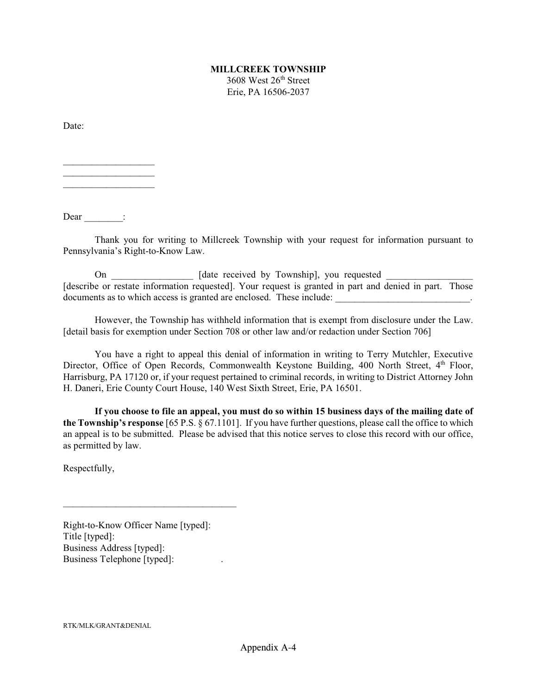3608 West 26<sup>th</sup> Street Erie, PA 16506-2037

Date:

 $\mathcal{L}=\mathcal{L}^{\text{max}}$  $\mathcal{L}=\mathcal{L}^{\text{max}}$  $\_$ 

Dear :

Thank you for writing to Millcreek Township with your request for information pursuant to Pennsylvania's Right-to-Know Law.

On \_\_\_\_\_\_\_\_\_\_\_\_\_\_\_\_\_ [date received by Township], you requested [describe or restate information requested]. Your request is granted in part and denied in part. Those documents as to which access is granted are enclosed. These include:

However, the Township has withheld information that is exempt from disclosure under the Law. [detail basis for exemption under Section 708 or other law and/or redaction under Section 706]

You have a right to appeal this denial of information in writing to Terry Mutchler, Executive Director, Office of Open Records, Commonwealth Keystone Building, 400 North Street, 4<sup>th</sup> Floor, Harrisburg, PA 17120 or, if your request pertained to criminal records, in writing to District Attorney John H. Daneri, Erie County Court House, 140 West Sixth Street, Erie, PA 16501.

**If you choose to file an appeal, you must do so within 15 business days of the mailing date of the Township's response** [65 P.S. § 67.1101]. If you have further questions, please call the office to which an appeal is to be submitted. Please be advised that this notice serves to close this record with our office, as permitted by law.

Respectfully,

Right-to-Know Officer Name [typed]: Title [typed]: Business Address [typed]: Business Telephone [typed]: .

 $\mathcal{L}_\text{max}$  and  $\mathcal{L}_\text{max}$  and  $\mathcal{L}_\text{max}$  and  $\mathcal{L}_\text{max}$ 

RTK/MLK/GRANT&DENIAL